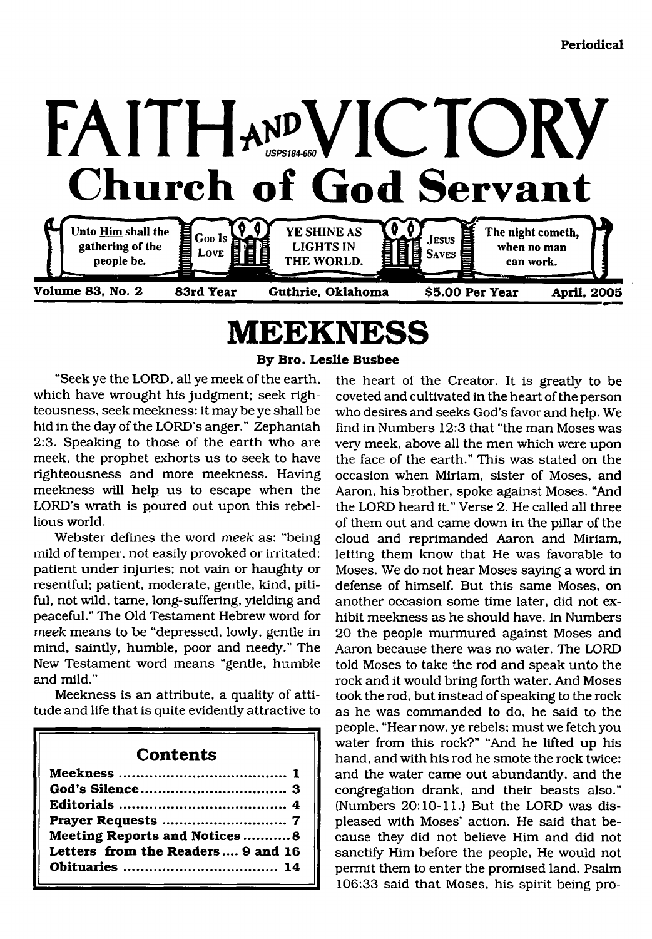

# <span id="page-0-0"></span>**MEEKNESS**

**By Bro. Leslie Busbee**

"Seek ye the LORD, all ye meek of the earth, which have wrought his judgment; seek righteousness, seek meekness: it may be ye shall be hid in the day of the LORD'S anger." Zephaniah 2:3. Speaking to those of the earth who are meek, the prophet exhorts us to seek to have righteousness and more meekness. Having meekness will help us to escape when the LORD'S wrath is poured out upon this rebellious world.

Webster defines the word *meek* as: "being mild of temper, not easily provoked or irritated; patient under injuries; not vain or haughty or resentful; patient, moderate, gentle, kind, pitiful, not wild, tame, long-suffering, yielding and peaceful." The Old Testament Hebrew word for *meek* means to be "depressed, lowly, gentle in mind, saintly, humble, poor and needy." The New Testament word means "gentle, humble and mild."

Meekness is an attribute, a quality of attitude and life that is quite evidently attractive to

# **Contents**

| Meeting Reports and Notices8      |
|-----------------------------------|
| Letters from the Readers 9 and 16 |
|                                   |
|                                   |

the heart of the Creator. It is greatly to be coveted and cultivated in the heart of the person who desires and seeks God's favor and help. We find in Numbers 12:3 that "the man Moses was very meek, above all the men which were upon the face of the earth." This was stated on the occasion when Miriam, sister of Moses, and Aaron, his brother, spoke against Moses. "And the LORD heard it." Verse 2. He called all three of them out and came down in the pillar of the cloud and reprimanded Aaron and Miriam, letting them know that He was favorable to Moses. We do not hear Moses saying a word in defense of himself. But this same Moses, on another occasion some time later, did not exhibit meekness as he should have. In Numbers 20 the people murmured against Moses and Aaron because there was no water. The LORD told Moses to take the rod and speak unto the rock and it would bring forth water. And Moses took the rod, but instead of speaking to the rock as he was commanded to do, he said to the people, "Hear now, ye rebels; must we fetch you water from this rock?" "And he lifted up his hand, and with his rod he smote the rock twice: and the water came out abundantly, and the congregation drank, and their beasts also." (Numbers 20:10-11.) But the LORD was displeased with Moses' action. He said that because they did not believe Him and did not sanctify Him before the people, He would not permit them to enter the promised land. Psalm 106:33 said that Moses, his spirit being pro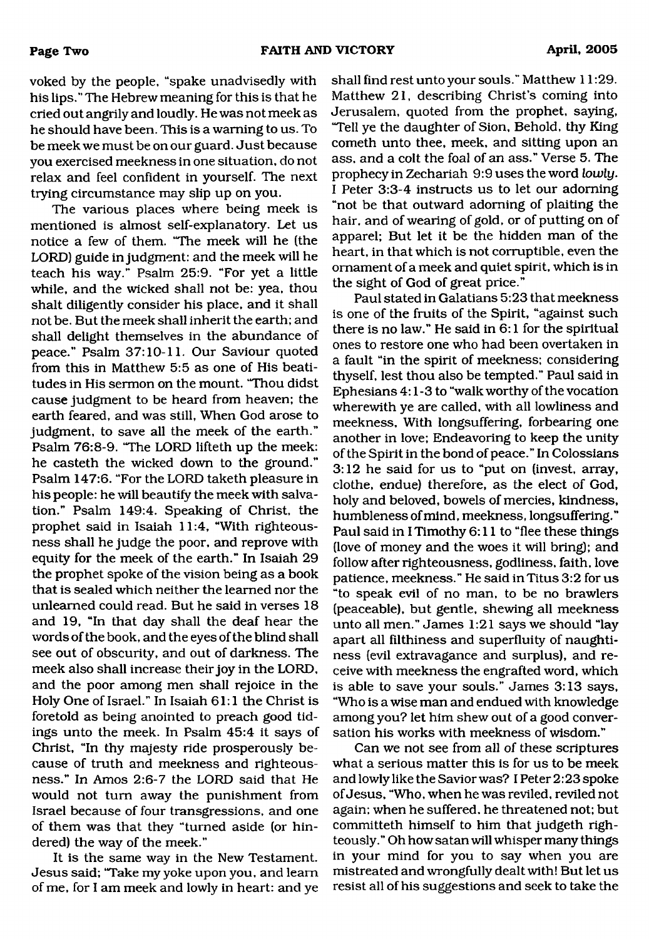voked by the people, "spake unadvisedly with his lips." The Hebrew meaning for this is that he cried out angrily and loudly. He was not meek as he should have been. This is a warning to us. To be meek we must be on our guard. Just because you exercised meekness in one situation, do not relax and feel confident in yourself. The next trying circumstance may slip up on you.

The various places where being meek is mentioned is almost self-explanatory. Let us notice a few of them. "The meek will he (the LORD) guide in judgment: and the meek will he teach his way." Psalm 25:9. "For yet a little while, and the wicked shall not be: yea, thou shalt diligently consider his place, and it shall not be. But the meek shall inherit the earth: and shall delight themselves in the abundance of peace." Psalm 37:10-11. Our Saviour quoted from this in Matthew 5:5 as one of His beatitudes in His sermon on the mount. "Thou didst cause judgment to be heard from heaven; the earth feared, and was still, When God arose to judgment, to save all the meek of the earth." Psalm 76:8-9. "The LORD lifteth up the meek: he casteth the wicked down to the ground." Psalm 147:6. "For the LORD taketh pleasure in his people: he will beautify the meek with salvation." Psalm 149:4. Speaking of Christ, the prophet said in Isaiah 11:4, "With righteousness shall he judge the poor, and reprove with equity for the meek of the earth." In Isaiah 29 the prophet spoke of the vision being as a book that is sealed which neither the learned nor the unlearned could read. But he said in verses 18 and 19, "In that day shall the deaf hear the words of the book, and the eyes of the blind shall see out of obscurity, and out of darkness. The meek also shall increase their joy in the LORD, and the poor among men shall rejoice in the Holy One of Israel." In Isaiah 61:1 the Christ is foretold as being anointed to preach good tidings unto the meek. In Psalm 45:4 it says of Christ, "In thy majesty ride prosperously because of truth and meekness and righteousness." In Amos 2:6-7 the LORD said that He would not turn away the punishment from Israel because of four transgressions, and one of them was that they "turned aside (or hindered) the way of the meek."

It is the same way in the New Testament. Jesus said; "Take my yoke upon you, and learn of me, for I am meek and lowly in heart: and ye shall find rest unto your souls." Matthew 11:29. Matthew 21, describing Christ's coming into Jerusalem, quoted from the prophet, saying, 'Tell ye the daughter of Sion, Behold, thy King cometh unto thee, meek, and sitting upon an ass, and a colt the foal of an ass." Verse 5. The prophecy in Zechariah 9:9 uses the word *lowly.* I Peter 3:3-4 instructs us to let our adorning "not be that outward adorning of plaiting the hair, and of wearing of gold, or of putting on of apparel; But let it be the hidden man of the heart, in that which is not corruptible, even the ornament of a meek and quiet spirit, which is in the sight of God of great price."

Paul stated in Galatians 5:23 that meekness is one of the fruits of the Spirit, "against such there is no law." He said in 6:1 for the spiritual ones to restore one who had been overtaken in a fault "in the spirit of meekness; considering thyself, lest thou also be tempted." Paul said in Ephesians 4:1-3 to "walk worthy of the vocation wherewith ye are called, with all lowliness and meekness. With longsuffering, forbearing one another in love; Endeavoring to keep the unity of the Spirit in the bond of peace." In Colossians 3:12 he said for us to "put on (invest, array, clothe, endue) therefore, as the elect of God, holy and beloved, bowels of mercies, kindness, humbleness of mind, meekness, longsuffering." Paul said in I Timothy 6:11 to "flee these things (love of money and the woes it will bring); and follow after righteousness, godliness, faith, love patience, meekness." He said in Titus 3:2 for us "to speak evil of no man, to be no brawlers (peaceable), but gentle, shewing all meekness unto all men." James 1:21 says we should "lay apart all filthiness and superfluity of naughtiness (evil extravagance and surplus), and receive with meekness the engrafted word, which is able to save your souls." James 3:13 says, "Who is a wise man and endued with knowledge among you? let him shew out of a good conversation his works with meekness of wisdom."

Can we not see from all of these scriptures what a serious matter this is for us to be meek and lowly like the Savior was? I Peter 2:23 spoke of Jesus, "Who, when he was reviled, reviled not again; when he suffered, he threatened not; but committeth himself to him that judgeth righteously." Oh how satan will whisper many things in your mind for you to say when you are mistreated and wrongfully dealt with! But let us resist all of his suggestions and seek to take the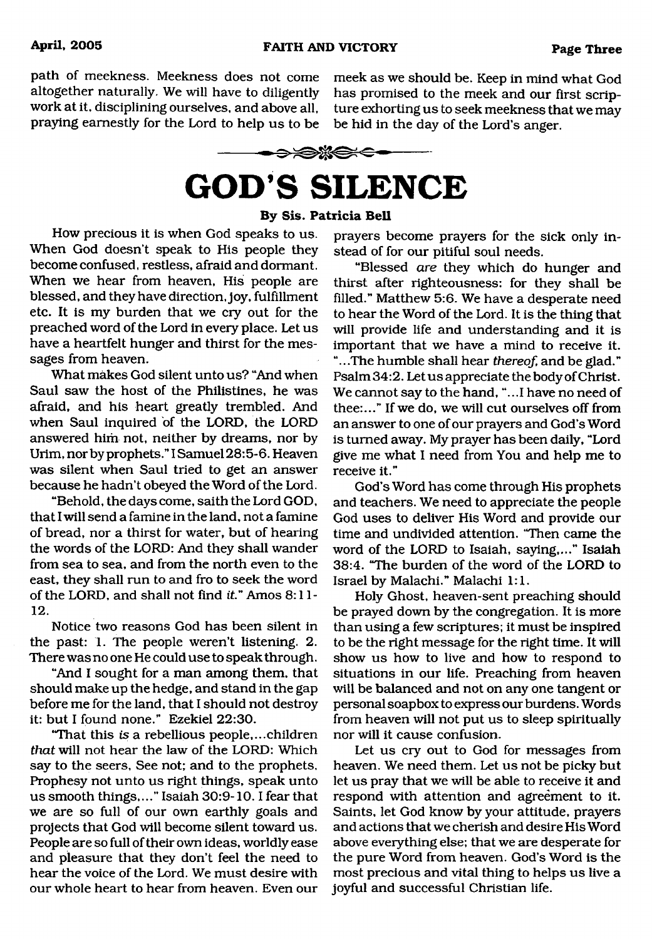path of meekness. Meekness does not come meek as we should be. Keep in mind what God praying earnestly for the Lord to help us to be be hid in the day of the Lord's anger.

altogether naturally. We will have to diligently has promised to the meek and our first scrip-<br>work at it, disciplining ourselves, and above all, ture exhorting us to seek meekness that we may ture exhorting us to seek meekness that we may



# **GOD'S SILENCE**

## **By Sis. Patricia Bell**

<span id="page-2-0"></span>How precious it is when God speaks to us. When God doesn't speak to His people they become confused, restless, afraid and dormant. When we hear from heaven, His people are blessed, and they have direction, joy, fulfillment etc. It is my burden that we cry out for the preached word of the Lord in every place. Let us have a heartfelt hunger and thirst for the messages from heaven.

What makes God silent unto us? "And when Saul saw the host of the Philistines, he was afraid, and his heart greatly trembled. And when Saul inquired of the LORD, the LORD answered him not, neither by dreams, nor by Urim, nor by prophets." I Samuel 28:5-6. Heaven was silent when Saul tried to get an answer because he hadn't obeyed the Word of the Lord.

"Behold, the days come, saith the Lord GOD, that I will send a famine in the land, not a famine of bread, nor a thirst for water, but of hearing the words of the LORD: And they shall wander from sea to sea, and from the north even to the east, they shall run to and fro to seek the word of the LORD, and shall not find it." Amos 8:11 i2.

Notice two reasons God has been silent in the past: 1. The people weren't listening. 2. There was no one He could use to speak through.

"And I sought for a man among them, that should make up the hedge, and stand in the gap before me for the land, that I should not destroy it: but I found none." Ezekiel 22:30.

"That this *is* a rebellious people,...children *that* will not hear the law of the LORD: Which say to the seers. See not; and to the prophets. Prophesy not unto us right things, speak unto us smooth things,..." Isaiah 30:9-10.1 fear that we are so full of our own earthly goals and projects that God will become silent toward us. People are so full of their own ideas, worldly ease and pleasure that they don't feel the need to hear the voice of the Lord. We must desire with our whole heart to hear from heaven. Even our prayers become prayers for the sick only instead of for our pitiful soul needs.

"Blessed *are* they which do hunger and thirst after righteousness: for they shall be filled." Matthew 5:6. We have a desperate need to hear the Word of the Lord. It is the thing that will provide life and understanding and it is important that we have a mind to receive it. "...The humble shall hear *thereof,* and be glad." Psalm 34:2. Let us appreciate the body of Christ. We cannot say to the hand, "...1 have no need of thee:..." If we do, we will cut ourselves off from an answer to one of our prayers and God's Word is turned away. My prayer has been daily, "Lord give me what I need from You and help me to receive it."

God's Word has come through His prophets and teachers. We need to appreciate the people God uses to deliver His Word and provide our time and undivided attention. "Then came the word of the LORD to Isaiah, saying,..." Isaiah 38:4. "The burden of the word of the LORD to Israel by Malachi." Malachi 1:1.

Holy Ghost, heaven-sent preaching should be prayed down by the congregation. It is more than using a few scriptures; it must be inspired to be the right message for the right time. It will show us how to live and how to respond to situations in our life. Preaching from heaven will be balanced and not on any one tangent or personal soapbox to express our burdens. Words from heaven will not put us to sleep spiritually nor will it cause confusion.

Let us cry out to God for messages from heaven. We need them. Let us not be picky but let us pray that we will be able to receive it and respond with attention and agreement to it. Saints, let God know by your attitude, prayers and actions that we cherish and desire His Word above everything else; that we are desperate for the pure Word from heaven. God's Word is the most precious and vital thing to helps us live a joyful and successful Christian life.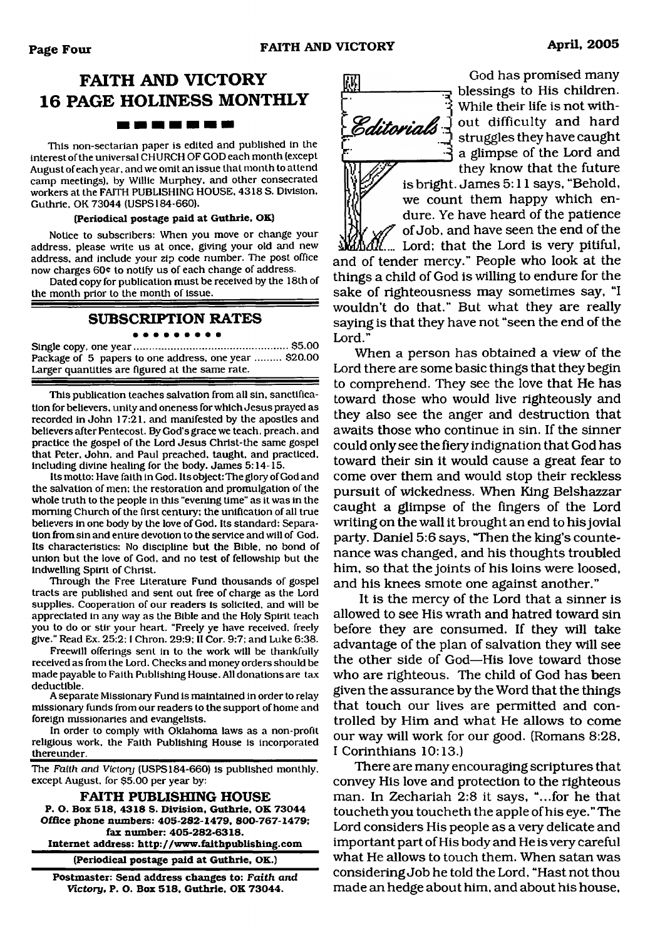# **FAITH AND VICTORY 16 PAGE HOLINESS MONTHLY** ------------

This non-sectarian paper is edited and published in the interest of the universal CHURCH OF GOD each month (except August of each year, and we omit an issue that month to attend camp meetings), by Willie Murphey, and other consecrated workers at the FAITH PUBLISHING HOUSE, 4318 S. Division, Guthrie, OK 73044 (USPS184-660).

#### **(Periodical postage paid at Guthrie, OK)**

Notice to subscribers: When you move or change your address, please write us at once, giving your old and new address, and include your zip code number. The post office now charges 60° to notify us of each change of address.

Dated copy for publication must be received by the 18th of the month prior to the month of issue.

### **SUBSCRIPTION RATES**

#### . . . . . . . . .

Single copy, one year......................................................\$5.00 Package of 5 papers to one address, one year ......... \$20.00 Larger quantities are figured at the same rate.

This publication teaches salvation from all sin, sanctification for believers, unity and oneness for which Jesus prayed as recorded in John 17:21, and manifested by the apostles and believers after Pentecost. By God's grace we teach, preach, and practice the gospel of the Lord Jesus Christ-the same gospel that Peter, John, and Paul preached, taught, and practiced, including divine healing for the body. James 5:14-15.

Its motto: Have faith in God. Its object: The glory of God and the salvation of men: the restoration and promulgation of the whole truth to the people in this "evening time" as it was in the morning Church of the first century: the unification of all true believers in one body by the love of God. Its standard: Separation from sin and entire devotion to the service and will of God. Its characteristics: No discipline but the Bible, no bond of union but the love of God. and no test of fellowship but the indwelling Spirit of Christ.

Through the Free Literature Fund thousands of gospel tracts are published and sent out free of charge as the Lord supplies. Cooperation of our readers is solicited, and will be appreciated in any way as the Bible and the Holy Spirit teach you to do or stir your heart. "Freely ye have received, freely give." Read Ex. 25:2:1 Chron. 29:9: II Cor. 9:7: and Luke 6:38.

Freewill offerings sent in to the work will be thankfully received as from the Lord. Checks and money orders should be made payable to Faith Publishing House. All donations are tax deductible.

A separate Missionary Fund is maintained in order to relay missionary funds from our readers to the support of home and foreign missionaries and evangelists.

In order to comply with Oklahoma laws as a non-profit religious work, the Faith Publishing House is incorporated thereunder.

The Faith and *Victory* (USPS 184-660) is published monthly, except August, for \$5.00 per year by:

**FAITH PUBLISHING HOUSE P. O. Box 518, 4318 S. Division, Guthrie. OK 73044 Office phone numbers: 405-282-1479, 800-767-1479; fax number: 405-282-6318. Internet address: <http://www.faithpublishing.com>**

**(Periodical postage paid at Guthrie, OK.)**

**Postmaster: Send address changes to:** *Faith and Victory,* **P. O. Box 518, Guthrie. OK 73044.**

God has promised many blessings to His children. *^* While their life is not with-Editorials out difficulty and hard struggles they have caught a glimpse of the Lord and they know that the future

is bright. James 5:11 says, "Behold, we count them happy which endure. Ye have heard of the patience of Job, and have seen the end of the

Lord; that the Lord is very pitiful, and of tender mercy." People who look at the things a child of God is willing to endure for the sake of righteousness may sometimes say, "I wouldn't do that." But what they are really saying is that they have not "seen the end of the Lord."

When a person has obtained a view of the Lord there are some basic things that they begin to comprehend. They see the love that He has toward those who would live righteously and they also see the anger and destruction that awaits those who continue in sin. If the sinner could only see the fiery indignation that God has toward their sin it would cause a great fear to come over them and would stop their reckless pursuit of wickedness. When King Belshazzar caught a glimpse of the fingers of the Lord writing on the wall it brought an end to his jovial party. Daniel 5:6 says, "Then the king's countenance was changed, and his thoughts troubled him, so that the joints of his loins were loosed, and his knees smote one against another."

It is the mercy of the Lord that a sinner is allowed to see His wrath and hatred toward sin before they are consumed. If they will take advantage of the plan of salvation they will see the other side of God—His love toward those who are righteous. The child of God has been given the assurance by the Word that the things that touch our lives are permitted and controlled by Him and what He allows to come our way will work for our good. (Romans 8:28, I Corinthians 10:13.)

There are many encouraging scriptures that convey His love and protection to the righteous man. In Zechariah 2:8 it says, "...for he that toucheth you toucheth the apple of his eye." The Lord considers His people as a very delicate and important part of His body and He is very careful what He allows to touch them. When satan was considering Job he told the Lord, "Hast not thou made an hedge about him, and about his house.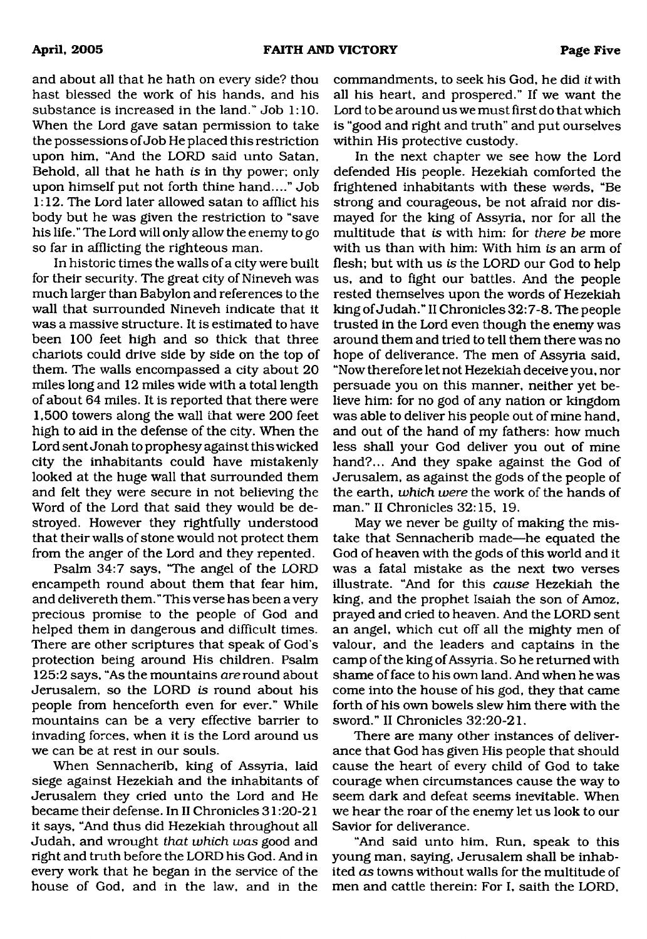and about all that he hath on every side? thou hast blessed the work of his hands, and his substance is increased in the land." Job 1:10. When the Lord gave satan permission to take the possessions of Job He placed this restriction upon him, "And the LORD said unto Satan, Behold, all that he hath *is* in thy power; only upon himself put not forth thine hand...." Job 1:12. The Lord later allowed satan to afflict his body but he was given the restriction to "save his life." The Lord will only allow the enemy to go so far in afflicting the righteous man.

In historic times the walls of a city were built for their security. The great city of Nineveh was much larger than Babylon and references to the wall that surrounded Nineveh indicate that it was a massive structure. It is estimated to have been 100 feet high and so thick that three chariots could drive side by side on the top of them. The walls encompassed a city about 20 miles long and 12 miles wide with a total length of about 64 miles. It is reported that there were 1,500 towers along the wall that were 200 feet high to aid in the defense of the city. When the Lord sent Jonah to prophesy against this wicked city the inhabitants could have mistakenly looked at the huge wall that surrounded them and felt they were secure in not believing the Word of the Lord that said they would be destroyed. However they rightfully understood that their walls of stone would not protect them from the anger of the Lord and they repented.

Psalm 34:7 says, "The angel of the LORD encampeth round about them that fear him, and delivereth them." This verse has been a very precious promise to the people of God and helped them in dangerous and difficult times. There are other scriptures that speak of God's protection being around His children. Psalm 125:2 says, "As the mountains *are* round about Jerusalem, so the LORD *is* round about his people from henceforth even for ever." While mountains can be a very effective barrier to invading forces, when it is the Lord around us we can be at rest in our souls.

When Sennacherib, king of Assyria, laid siege against Hezekiah and the inhabitants of Jerusalem they cried unto the Lord and He became their defense. In II Chronicles 31:20-21 it says, "And thus did Hezekiah throughout all Judah, and wrought *that which was* good and right and truth before the LORD his God. And in every work that he began in the service of the house of God, and in the law, and in the

commandments, to seek his God, he did *it* with all his heart, and prospered." If we want the Lord to be around us we must first do that which is "good and right and truth" and put ourselves within His protective custody.

In the next chapter we see how the Lord defended His people. Hezekiah comforted the frightened inhabitants with these w@rds, "Be strong and courageous, be not afraid nor dismayed for the king of Assyria, nor for all the multitude that *is* with him: for *there be* more with us than with him: With him *is* an arm of flesh; but with us *is* the LORD our God to help us, and to fight our battles. And the people rested themselves upon the words of Hezekiah king of Judah." II Chronicles 32:7-8. The people trusted in the Lord even though the enemy was around them and tried to tell them there was no hope of deliverance. The men of Assyria said, "Now therefore let not Hezekiah deceive you, nor persuade you on this manner, neither yet believe him: for no god of any nation or kingdom was able to deliver his people out of mine hand, and out of the hand of my fathers: how much less shall your God deliver you out of mine hand?... And they spake against the God of Jerusalem, as against the gods of the people of the earth, *which were* the work of the hands of man." II Chronicles 32:15, 19.

May we never be guilty of making the mistake that Sennacherib made—he equated the God of heaven with the gods of this world and it was a fatal mistake as the next two verses illustrate. "And for this *cause* Hezekiah the king, and the prophet Isaiah the son of Amoz, prayed and cried to heaven. And the LORD sent an angel, which cut off all the mighty men of valour, and the leaders and captains in the camp of the king of Assyria. So he returned with shame of face to his own land. And when he was come into the house of his god, they that came forth of his own bowels slew him there with the sword." II Chronicles 32:20-21.

There are many other instances of deliverance that God has given His people that should cause the heart of every child of God to take courage when circumstances cause the way to seem dark and defeat seems inevitable. When we hear the roar of the enemy let us look to our Savior for deliverance.

"And said unto him. Run, speak to this young man, saying, Jerusalem shall be inhabited *as* towns without walls for the multitude of men and cattle therein: For I, saith the LORD,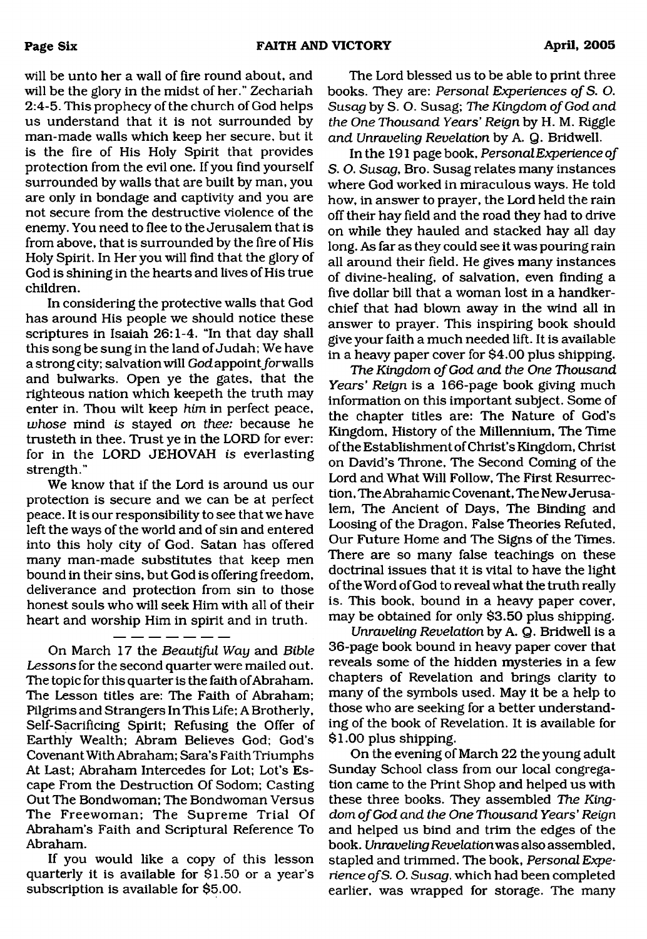will be unto her a wall of fire round about, and will be the glory in the midst of her." Zechariah 2:4-5. This prophecy of the church of God helps us understand that it is not surrounded by man-made walls which keep her secure, but it is the fire of His Holy Spirit that provides protection from the evil one. If you find yourself surrounded by walls that are built by man, you are only in bondage and captivity and you are not secure from the destructive violence of the enemy. You need to flee to the Jerusalem that is from above, that is surrounded by the fire of His Holy Spirit. In Her you will find that the glory of God is shining in the hearts and lives of His true children.

In considering the protective walls that God has around His people we should notice these scriptures in Isaiah 26:1-4. "In that day shall this song be sung in the land of Judah: We have a strong city; salvation will God appoint for walls and bulwarks. Open ye the gates, that the righteous nation which keepeth the truth may enter in. Thou wilt keep *him* in perfect peace, *whose* mind is stayed *on thee:* because he trusteth in thee. Trust ye in the LORD for ever: for in the LORD JEHOVAH is everlasting strength."

We know that if the Lord is around us our protection is secure and we can be at perfect peace. It is our responsibility to see that we have left the ways of the world and of sin and entered into this holy city of God. Satan has offered many man-made substitutes that keep men bound in their sins, but God is offering freedom, deliverance and protection from sin to those honest souls who will seek Him with all of their heart and worship Him in spirit and in truth.

On March 17 the *Beautiful Way* and *Bible Lessons* for the second quarter were mailed out. The topic for this quarter is the faith of Abraham. The Lesson titles are: The Faith of Abraham; Pilgrims and Strangers In This Life; A Brotherly, Self-Sacrificing Spirit; Refusing the Offer of Earthly Wealth; Abram Believes God; God's Covenant With Abraham; Sara's Faith Triumphs At Last; Abraham Intercedes for Lot; Lot's Escape From the Destruction Of Sodom; Casting Out The Bondwoman; The Bondwoman Versus The Freewoman; The Supreme Trial Of Abraham's Faith and Scriptural Reference To Abraham.

If you would like a copy of this lesson quarterly it is available for \$1.50 or a year's subscription is available for \$5.00.

The Lord blessed us to be able to print three books. They are: *Personal Experiences of* S. O. *Susag* by S. O. Susag; *The Kingdom of God and the One Thousand Years' Reign* by H. M. Riggle *and Unraveling Revelation* by A. Q. Bridwell.

In the 191 page book, *Personal Experience of* S. O. *Susag*, Bro. Susag relates many instances where God worked in miraculous ways. He told how, in answer to prayer, the Lord held the rain off their hay field and the road they had to drive on while they hauled and stacked hay all day long. As far as they could see it was pouring rain all around their field. He gives many instances of divine-healing, of salvation, even finding a five dollar bill that a woman lost in a handkerchief that had blown away in the wind all in answer to prayer. This inspiring book should give your faith a much needed lift. It is available in a heavy paper cover for \$4.00 plus shipping.

*The Kingdom of God and the One Thousand Years' Reign* is a 166-page book giving much information on this important subject. Some of the chapter titles are: The Nature of God's Kingdom, History of the Millennium, The Time of the Establishment of Christ's Kingdom, Christ on David's Throne, The Second Coming of the Lord and What Will Follow, The First Resurrection, The Abrahamic Covenant, The New Jerusalem, The Ancient of Days, The Binding and Loosing of the Dragon, False Theories Refuted, Our Future Home and The Signs of the Times. There are so many false teachings on these doctrinal issues that it is vital to have the light of the Word of God to reveal what the truth really is. This book, bound in a heavy paper cover, may be obtained for only \$3.50 plus shipping.

*Unraveling Revelation* by A. Q. Bridwell is a 36-page book bound in heavy paper cover that reveals some of the hidden mysteries in a few chapters of Revelation and brings clarity to many of the symbols used. May it be a help to those who are seeking for a better understanding of the book of Revelation. It is available for \$1.00 plus shipping.

On the evening of March 22 the young adult Sunday School class from our local congregation came to the Print Shop and helped us with these three books. They assembled *The Kingdom of God and the One Thousand Years' Reign* and helped us bind and trim the edges of the book. *Unraveling Revelationwas* also assembled, stapled and trimmed. The book, *Personal Experience of S.* O. *Susag,* which had been completed earlier, was wrapped for storage. The many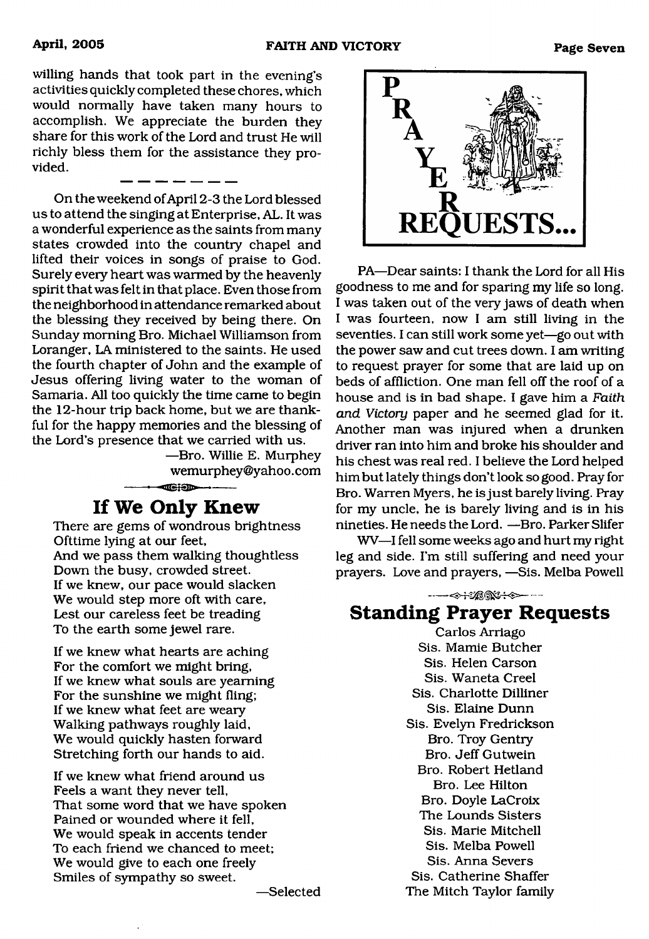willing hands that took part in the evening's activities quickly completed these chores, which would normally have taken many hours to accomplish. We appreciate the burden they share for this work of the Lord and trust He will richly bless them for the assistance they provided.

\_ \_\_ \_\_ \_ \_ \_ \_

On the weekend of April 2-3 the Lord blessed us to attend the singing at Enterprise, AL. It was a wonderful experience as the saints from many states crowded into the country chapel and lifted their voices in songs of praise to God. Surely every heart was warmed by the heavenly spirit that was felt in that place. Even those from the neighborhood in attendance remarked about the blessing they received by being there. On Sunday morning Bro. Michael Williamson from Loranger, LA ministered to the saints. He used the fourth chapter of John and the example of Jesus offering living water to the woman of Samaria. All too quickly the time came to begin the 12-hour trip back home, but we are thankful for the happy memories and the blessing of the Lord's presence that we carried with us.

—Bro. Willie E. Murphey wemurphey ©yahoo. com  $-$ 

# **If We Only Knew**

There are gems of wondrous brightness Ofttime lying at our feet, And we pass them walking thoughtless Down the busy, crowded street. If we knew, our pace would slacken We would step more oft with care, Lest our careless feet be treading To the earth some jewel rare.

If we knew what hearts are aching For the comfort we might bring. If we knew what souls are yearning For the sunshine we might fling; If we knew what feet are weary Walking pathways roughly laid. We would quickly hasten forward Stretching forth our hands to aid.

If we knew what friend around us Feels a want they never tell, That some word that we have spoken Pained or wounded where it fell. We would speak in accents tender To each friend we chanced to meet; We would give to each one freely Smiles of sympathy so sweet.



PA—Dear saints; I thank the Lord for all His goodness to me and for sparing my life so long. I was taken out of the very jaws of death when I was fourteen, now I am still living in the seventies. I can still work some yet—go out with the power saw and cut trees down. I am writing to request prayer for some that are laid up on beds of affliction. One man fell off the roof of a house and is in bad shape. I gave him a *Faith and Victory* paper and he seemed glad for it. Another man was injured when a drunken driver ran into him and broke his shoulder and his chest was real red. I believe the Lord helped him but lately things don't look so good. Pray for Bro. Warren Myers, he is just barely living. Pray for my uncle, he is barely living and is in his nineties. He needs the Lord. —Bro. Parker Slifer

WV—I fell some weeks ago and hurt my right leg and side. I'm still suffering and need your prayers. Love and prayers, —Sis. Melba Powell

----<<del>> | 1200\*++>--</del> **Standing Prayer Requests**

Carlos Arriago Sis. Mamie Butcher Sis. Helen Carson Sis. Waneta Creel Sis. Charlotte Dilliner Sis. Elaine Dunn Sis. Evelyn Fredrickson Bro. Troy Gentry Bro. Jeff Gutwein Bro. Robert Hetland Bro. Lee Hilton Bro. Doyle LaCroix The Lounds Sisters Sis. Marie Mitchell Sis. Melba Powell Sis. Anna Severs Sis. Catherine Shaffer The Mitch Taylor family

—Selected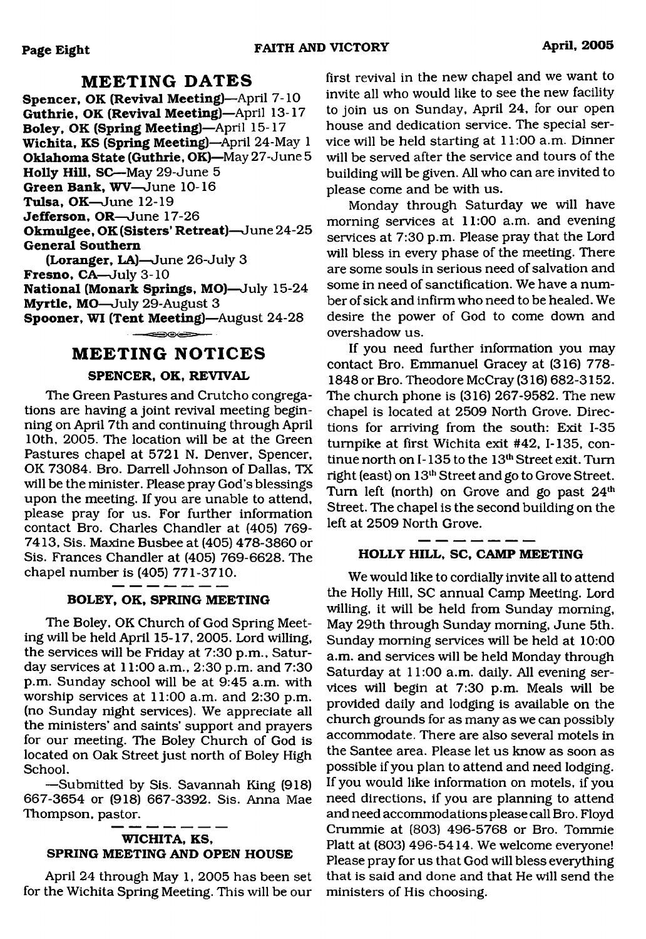# **MEETING DATES**

**Spencer, OK (Revival Meeting)**—April 7-10 Guthrie, OK (Revival Meeting)—April 13-17 **Boley, OK (Spring Meeting)**—April 15-17 **Wichita, KS (Spring Meeting)**—April 24-May 1 **Oklahoma State (Guthrie, OK)**—May 27-June 5 **Holly Hill, SC**—May 29-June 5 **Green Bank, WV**—June 10-16 **Tulsa, OK**—June 12-19 **Jefferson, OR**—June 17-26 **Okmulgee, OK (Sisters' Retreat)**—June 24-25 **General Southern (Loranger, LA)**—June 26-July **3**

**Fresno, CA—**July **3-10 National (Monark Springs, MO)**—July 15-24 **Myrtle, MO**—July 29-August 3 **Spooner, WI (Tent Meeting)**—August 24-28

### ਵ∋⊙∈⇒

# **MEETING NOTICES**

# **SPENCER, OK, REVIVAL**

The Green Pastures and Crutcho congregations are having a joint revival meeting beginning on April 7th and continuing through April 10th, 2005. The location will be at the Green Pastures chapel at 5721 N. Denver, Spencer, OK 73084. Bro. Darrell Johnson of Dallas, TX will be the minister. Please pray God's blessings upon the meeting. If you are unable to attend, please pray for us. For further information contact Bro. Charles Chandler at (405) 769- 7413, Sis. Maxine Busbee at (405) 478-3860 or Sis. Frances Chandler at (405) 769-6628. The chapel number is (405) 771-3710.

### **BOLEY, OK, SPRING MEETING**

The Boley, OK Church of God Spring Meeting will be held April 15-17, 2005. Lord willing, the services will be Friday at 7:30 p.m., Saturday services at 11:00 a.m., 2:30 p.m. and 7:30 p.m. Sunday school will be at 9:45 a.m. with worship services at 11:00 a.m. and 2:30 p.m. (no Sunday night services). We appreciate all the ministers' and saints' support and prayers for our meeting. The Boley Church of God is located on Oak Street just north of Boley High School.

—Submitted by Sis. Savannah King (918) 667-3654 or (918) 667-3392. Sis. Anna Mae Thompson, pastor.

# **WICHITA, KS, SPRING MEETING AND OPEN HOUSE**

April 24 through May 1, 2005 has been set for the Wichita Spring Meeting. This will be our

first revival in the new chapel and we want to invite all who would like to see the new facility to join us on Sunday, April 24, for our open house and dedication service. The special service will be held starting at 11:00 a.m. Dinner will be served after the service and tours of the building will be given. All who can are invited to please come and be with us.

Monday through Saturday we will have morning services at 11:00 a.m. and evening services at 7:30 p.m. Please pray that the Lord will bless in every phase of the meeting. There are some souls in serious need of salvation and some in need of sanctification. We have a number of sick and infirm who need to be healed. We desire the power of God to come down and overshadow us.

If you need further information you may contact Bro. Emmanuel Gracey at (316) 778- 1848 or Bro. Theodore McCray (316) 682-3152. The church phone is (316) 267-9582. The new chapel is located at 2509 North Grove. Directions for arriving from the south: Exit 1-35 turnpike at first Wichita exit #42, 1-135, continue north on I-135 to the 13<sup>th</sup> Street exit. Turn right (east) on 13th Street and go to Grove Street. Turn left (north) on Grove and go past  $24<sup>th</sup>$ Street. The chapel is the second building on the left at 2509 North Grove.

## **HOLLY HILL, SC, CAMP MEETING**

We would like to cordially invite all to attend the Holly Hill, SC annual Camp Meeting. Lord willing, it will be held from Sunday morning, May 29th through Sunday morning, June 5th. Sunday morning services will be held at 10:00 a.m. and services will be held Monday through Saturday at 11:00 a.m. daily. All evening services will begin at 7:30 p.m. Meals will be provided daily and lodging is available on the church grounds for as many as we can possibly accommodate. There are also several motels in the Santee area. Please let us know as soon as possible if you plan to attend and need lodging. If you would like information on motels, if you need directions, if you are planning to attend and need accommodations please call Bro. Floyd Crummie at (803) 496-5768 or Bro. Tommie Platt at (803) 496-5414. We welcome everyone! Please pray for us that God will bless everything that is said and done and that He will send the ministers of His choosing.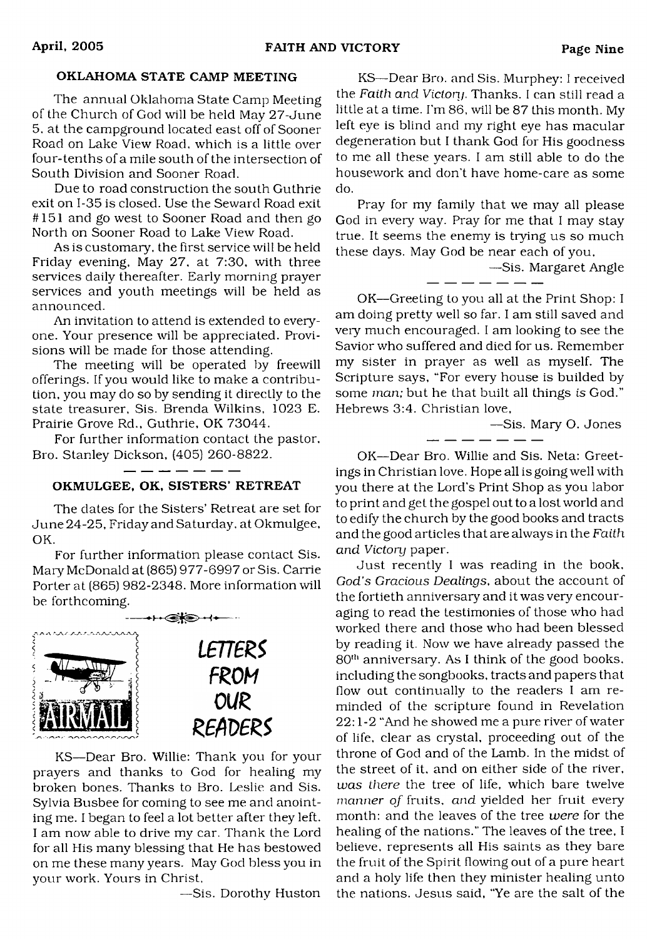# OKLAHOMA STATE CAMP MEETING

The annual Oklahoma State Camp Meeting of the Church of God will be held May 27-June 5. at the campground located east off of Sooner Road on Lake View Road, which is a little over four-tenths of a mile south of the intersection of South Division and Sooner Road.

Due to road construction the south Guthrie exit on 1-35 is closed. Use the Seward Road exit #151 and go west to Sooner Road and then go North on Sooner Road to Lake View Road.

As is customary, the first service will be held Friday evening. May 27, at 7:30, with three services daily thereafter. Early morning prayer services and youth meetings will be held as announced.

An invitation to attend is extended to everyone. Your presence will be appreciated. Provisions will be made for those attending.

The meeting will be operated by freewill offerings. If you would like to make a contribution, you may do so by sending it directly to the state treasurer, Sis. Brenda Wilkins, 1023 E. Prairie Grove Rd., Guthrie, OK 73044.

For further information contact the pastor, Bro. Stanley Dickson, (405) 260-8822.

# OKMULGEE, OK, SISTERS' RETREAT

- - - - -

The dates for the Sisters' Retreat are set for June 24-25, Friday and Saturday, at Okmulgee, OK.

For further information please contact Sis. Mary McDonald at (865) 977-6997 or Sis. Carrie Porter at (865) 982-2348. More information will be forthcoming.



KS—Dear Bro. Willie: Thank you for your prayers and thanks to God for healing my broken bones. Thanks to Bro. Leslie and Sis. Sylvia Busbee for coming to see me and anointing me. I began to feel a lot better after they left. I am now able to drive my car. Thank the Lord for all His many blessing that He has bestowed on me these many years. May God bless you in your work. Yours in Christ,

—Sis. Dorothy Huston

KS—Dear Bro. and Sis. Murphey: I received the *Faith and Victory.* Thanks. I can still read a little at a time. I'm 86, will be 87 this month. My left eye is blind and my right eye has macular degeneration but I thank God for His goodness to me all these years. I am still able to do the housework and don't have home-care as some do.

Pray for my family that we may all please God in every way. Pray for me that I may stay true. It seems the enemy is trying us so much these days. May God be near each of you,

—Sis. Margaret Angle

OK—Greeting to you all at the Print Shop: I am doing pretty well so far. I am still saved and very much encouraged. I am looking to see the Savior who suffered and died for us. Remember my sister in prayer as well as myself. The Scripture says, "For every house is builded by some *man;* but he that built all things is God." Hebrews 3:4. Christian love,

—Sis. Mary O. Jones

OK—Dear Bro. Willie and Sis. Neta: Greetings in Christian love. Hope all is going well with you there at the Lord's Print Shop as you labor to print and get the gospel out to a lost world and to edify the church by the good books and tracts and the good articles that are always in the *Faith and Victory* paper.

Just recently I was reading in the book, *God's Gracious Dealings,* about the account of the fortieth anniversary and it was very encouraging to read the testimonies of those who had worked there and those who had been blessed by reading it. Now we have already passed the  $80<sup>th</sup>$  anniversary. As I think of the good books, including the songbooks, tracts and papers that flow out continually to the readers I am reminded of the scripture found in Revelation 22:1 -2 "And he showed me a pure river of water of life, clear as crystal, proceeding out of the throne of God and of the Lamb. In the midst of the street of it, and on either side of the river, *was there* the tree of life, which bare twelve *manner of* fruits, *and* yielded her fruit every month: and the leaves of the tree *were* for the healing of the nations." The leaves of the tree, I believe, represents all His saints as they bare the fruit of the Spirit flowing out of a pure heart and a holy life then they minister healing unto the nations. Jesus said, "Ye are the salt of the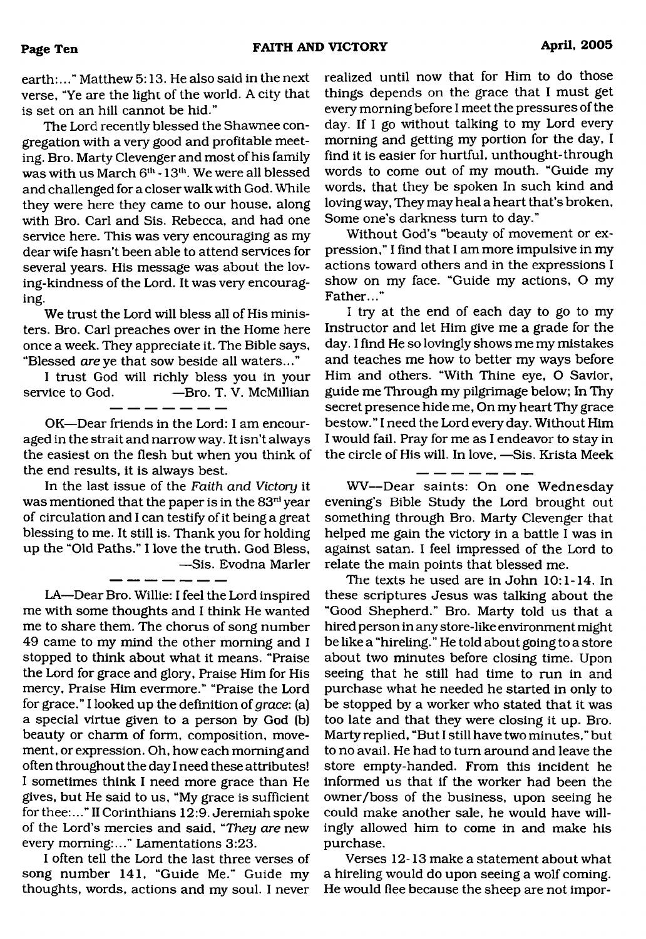earth:..." Matthew 5:13. He also said in the next verse, "Ye are the light of the world. A city that is set on an hill cannot be hid."

The Lord recently blessed the Shawnee congregation with a very good and profitable meeting. Bro. Marty Clevenger and most of his family was with us March  $6<sup>th</sup> - 13<sup>th</sup>$ . We were all blessed and challenged for a closer walk with God. While they were here they came to our house, along with Bro. Carl and Sis. Rebecca, and had one service here. This was very encouraging as my dear wife hasn't been able to attend services for several years. His message was about the loving-kindness of the Lord. It was very encouraging.

We trust the Lord will bless all of His ministers. Bro. Carl preaches over in the Home here once a week. They appreciate it. The Bible says, "Blessed *are* ye that sow beside all waters..."

I trust God will richly bless you in your service to God. — Bro. T. V. McMillian

OK—Dear friends in the Lord: I am encouraged in the strait and narrow way. It isn't always the easiest on the flesh but when you think of the end results, it is always best.

In the last issue of the *Faith and Victory* it was mentioned that the paper is in the 83rd year of circulation and I can testify of it being a great blessing to me. It still is. Thank you for holding up the "Old Paths." I love the truth. God Bless, —Sis. Evodna Marler

LA—Dear Bro. Willie: I feel the Lord inspired me with some thoughts and I think He wanted me to share them. The chorus of song number 49 came to my mind the other morning and I stopped to think about what it means. "Praise the Lord for grace and glory, Praise Him for His mercy. Praise Him evermore." "Praise the Lord for grace." I looked up the definition of *grace:* (a) a special virtue given to a person by God (b) beauty or charm of form, composition, movement, or expression. Oh, how each morning and often throughout the day I need these attributes! I sometimes think I need more grace than He gives, but He said to us, "My grace is sufficient for thee:..."II Corinthians 12:9. Jeremiah spoke of the Lord's mercies and said, *"They are* new every morning:..." Lamentations 3:23.

I often tell the Lord the last three verses of song number 141, "Guide Me." Guide my thoughts, words, actions and my soul. I never

realized until now that for Him to do those things depends on the grace that I must get every morning before I meet the pressures of the day. If I go without talking to my Lord every morning and getting my portion for the day, I find it is easier for hurtful, unthought-through words to come out of my mouth. "Guide my words, that they be spoken In such kind and loving way, They may heal a heart that's broken, Some one's darkness turn to day."

Without God's "beauty of movement or expression," I find that I am more impulsive in my actions toward others and in the expressions I show on my face. "Guide my actions, O my Father..."

I try at the end of each day to go to my Instructor and let Him give me a grade for the day. I find He so lovingly shows me my mistakes and teaches me how to better my ways before Him and others. "With Thine eye, O Savior, guide me Through my pilgrimage below; In Thy secret presence hide me, On my heart Thy grace bestow." I need the Lord every day. Without Him I would fail. Pray for me as I endeavor to stay in the circle of His will. In love, —Sis. Krista Meek

WV— Dear saints: On one Wednesday evening's Bible Study the Lord brought out something through Bro. Marty Clevenger that helped me gain the victory in a battle I was in against satan. I feel impressed of the Lord to relate the main points that blessed me.

The texts he used are in John 10:1-14. In these scriptures Jesus was talking about the "Good Shepherd." Bro. Marty told us that a hired person in any store-like environment might be like a "hireling." He told about going to a store about two minutes before closing time. Upon seeing that he still had time to run in and purchase what he needed he started in only to be stopped by a worker who stated that it was too late and that they were closing it up. Bro. Marty replied, "But I still have two minutes," but to no avail. He had to turn around and leave the store empty-handed. From this incident he informed us that if the worker had been the owner/boss of the business, upon seeing he could make another sale, he would have willingly allowed him to come in and make his purchase.

Verses 12-13 make a statement about what a hireling would do upon seeing a wolf coming. He would flee because the sheep are not impor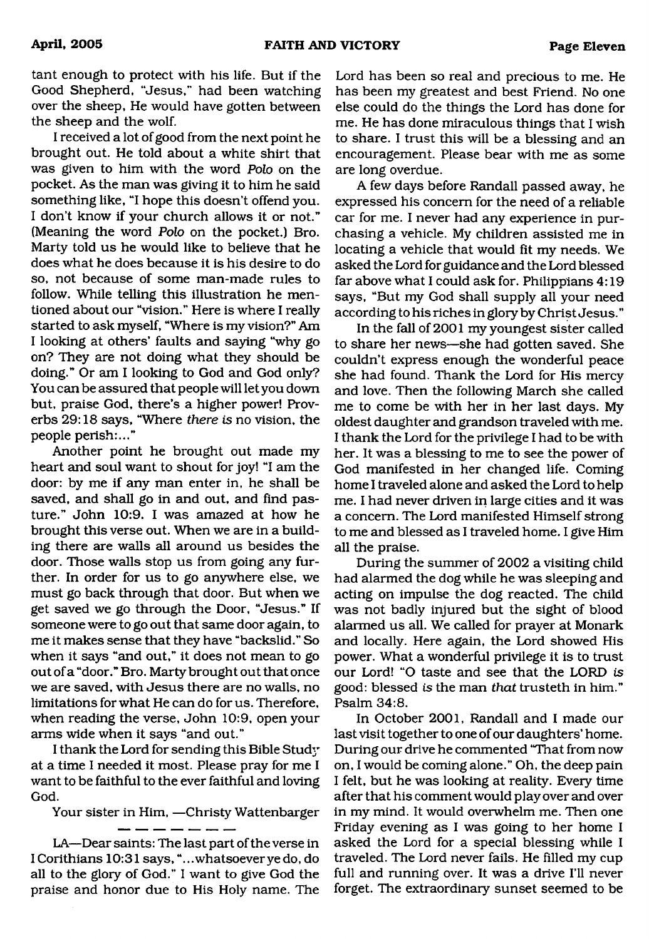tant enough to protect with his life. But if the Good Shepherd, "Jesus," had been watching over the sheep, He would have gotten between the sheep and the wolf.

I received a lot of good from the next point he brought out. He told about a white shirt that was given to him with the word *Polo* on the pocket. As the man was giving it to him he said something like, "I hope this doesn't offend you. I don't know if your church allows it or not." (Meaning the word *Polo* on the pocket.) Bro. Marty told us he would like to believe that he does what he does because it is his desire to do so, not because of some man-made rules to follow. While telling this illustration he mentioned about our "vision." Here is where I really started to ask myself, "Where is my vision?" Am I looking at others' faults and saying "why go on? They are not doing what they should be doing." Or am I looking to God and God only? You can be assured that people will let you down but, praise God, there's a higher power! Proverbs 29:18 says, "Where *there is no* vision, the people perish:..."

Another point he brought out made my heart and soul want to shout for joy! "I am the door: by me if any man enter in, he shall be saved, and shall go in and out, and find pasture." John 10:9. I was amazed at how he brought this verse out. When we are in a building there are walls all around us besides the door. Those walls stop us from going any further. In order for us to go anywhere else, we must go back through that door. But when we get saved we go through the Door, "Jesus." If someone were to go out that same door again, to me it makes sense that they have "backslid." So when it says "and out," it does not mean to go out of a "door." Bro. Marty brought out that once we are saved, with Jesus there are no walls, no limitations for what He can do for us. Therefore, when reading the verse, John 10:9, open your arms wide when it says "and out."

I thank the Lord for sending this Bible Study at a time I needed it most. Please pray for me I want to be faithful to the ever faithful and loving God.

Your sister in Him, —Christy Wattenbarger

LA—Dear saints: The last part of the verse in I Corithians 10:31 says, "...whatsoeverye do, do all to the glory of God." I want to give God the praise and honor due to His Holy name. The Lord has been so real and precious to me. He has been my greatest and best Friend. No one else could do the things the Lord has done for me. He has done miraculous things that I wish to share. I trust this will be a blessing and an encouragement. Please bear with me as some are long overdue.

A few days before Randall passed away, he expressed his concern for the need of a reliable car for me. I never had any experience in purchasing a vehicle. My children assisted me in locating a vehicle that would fit my needs. We asked the Lord for guidance and the Lord blessed far above what I could ask for. Philippians 4:19 says, "But my God shall supply all your need according to his riches in glory by Christ Jesus."

In the fall of 2001 my youngest sister called to share her news—she had gotten saved. She couldn't express enough the wonderful peace she had found. Thank the Lord for His mercy and love. Then the following March she called me to come be with her in her last days. My oldest daughter and grandson traveled with me. I thank the Lord for the privilege I had to be with her. It was a blessing to me to see the power of God manifested in her changed life. Coming home I traveled alone and asked the Lord to help me. I had never driven in large cities and it was a concern. The Lord manifested Himself strong to me and blessed as I traveled home. I give Him all the praise.

During the summer of 2002 a visiting child had alarmed the dog while he was sleeping and acting on impulse the dog reacted. The child was not badly injured but the sight of blood alarmed us all. We called for prayer at Monark and locally. Here again, the Lord showed His power. What a wonderful privilege it is to trust our Lord! "O taste and see that the LORD *is* good: blessed *is* the man *that* trusteth in him." Psalm 34:8.

In October 2001, Randall and I made our last visit together to one of our daughters' home. During our drive he commented "That from now on, I would be coming alone." Oh, the deep pain I felt, but he was looking at reality. Every time after that his comment would play over and over in my mind. It would overwhelm me. Then one Friday evening as I was going to her home I asked the Lord for a special blessing while I traveled. The Lord never fails. He filled my cup full and running over. It was a drive I'll never forget. The extraordinary sunset seemed to be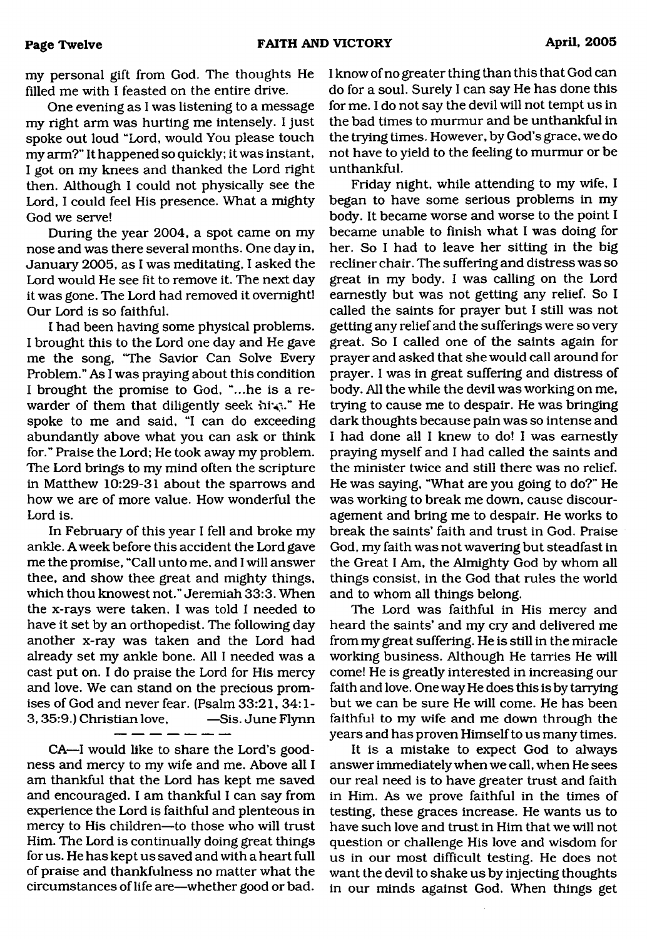my personal gift from God. The thoughts He

filled me with I feasted on the entire drive. One evening as I was listening to a message my right arm was hurting me intensely. I just spoke out loud "Lord, would You please touch my arm?" It happened so quickly; it was instant, I got on my knees and thanked the Lord right then. Although I could not physically see the Lord, I could feel His presence. What a mighty God we serve!

During the year 2004, a spot came on my nose and was there several months. One day in, January 2005, as I was meditating, I asked the Lord would He see fit to remove it. The next day it was gone. The Lord had removed it overnight! Our Lord is so faithful.

I had been having some physical problems. I brought this to the Lord one day and He gave me the song, "The Savior Can Solve Every Problem." As I was praying about this condition I brought the promise to God, "...he is a rewarder of them that diligently seek him." He spoke to me and said, "I can do exceeding abundantly above what you can ask or think for." Praise the Lord; He took away my problem. The Lord brings to my mind often the scripture in Matthew 10:29-31 about the sparrows and how we are of more value. How wonderful the Lord is.

In February of this year I fell and broke my ankle. A week before this accident the Lord gave me the promise, "Call unto me, and I will answer thee, and show thee great and mighty things, which thou knowest not." Jeremiah 33:3. When the x-rays were taken, I was told I needed to have it set by an orthopedist. The following day another x-ray was taken and the Lord had already set my ankle bone. All I needed was a cast put on. I do praise the Lord for His mercy and love. We can stand on the precious promises of God and never fear. (Psalm 33:21, 34:1- 3, 35:9.) Christian love, —Sis. June Flynn

CA—I would like to share the Lord's goodness and mercy to my wife and me. Above all I am thankful that the Lord has kept me saved and encouraged. I am thankful I can say from experience the Lord is faithful and plenteous in mercy to His children—to those who will trust Him. The Lord is continually doing great things for us. He has kept us saved and with a heart full of praise and thankfulness no matter what the circumstances of life are—whether good or bad.

I know of no greater thing than this that God can do for a soul. Surely I can say He has done this for me. I do not say the devil will not tempt us in the bad times to murmur and be unthankful in the trying times. However, by God's grace, we do not have to yield to the feeling to murmur or be unthankful.

Friday night, while attending to my wife, I began to have some serious problems in my body. It became worse and worse to the point I became unable to finish what I was doing for her. So I had to leave her sitting in the big recliner chair. The suffering and distress was so great in my body. I was calling on the Lord earnestly but was not getting any relief. So I called the saints for prayer but I still was not getting any relief and the sufferings were so very great. So I called one of the saints again for prayer and asked that she would call around for prayer. I was in great suffering and distress of body. All the while the devil was working on me, trying to cause me to despair. He was bringing dark thoughts because pain was so intense and I had done all I knew to do! I was earnestly praying myself and I had called the saints and the minister twice and still there was no relief. He was saying, "What are you going to do?" He was working to break me down, cause discouragement and bring me to despair. He works to break the saints' faith and trust in God. Praise God, my faith was not wavering but steadfast in the Great I Am, the Almighty God by whom all things consist, in the God that rules the world and to whom all things belong.

The Lord was faithful in His mercy and heard the saints' and my cry and delivered me from my great suffering. He is still in the miracle working business. Although He tarries He will come! He is greatly interested in increasing our faith and love. One way He does this is by tarrying but we can be sure He will come. He has been faithful to my wife and me down through the years and has proven Himself to us many times.

It is a mistake to expect God to always answer immediately when we call, when He sees our real need is to have greater trust and faith in Him. As we prove faithful in the times of testing, these graces increase. He wants us to have such love and trust in Him that we will not question or challenge His love and wisdom for us in our most difficult testing. He does not want the devil to shake us by injecting thoughts in our minds against God. When things get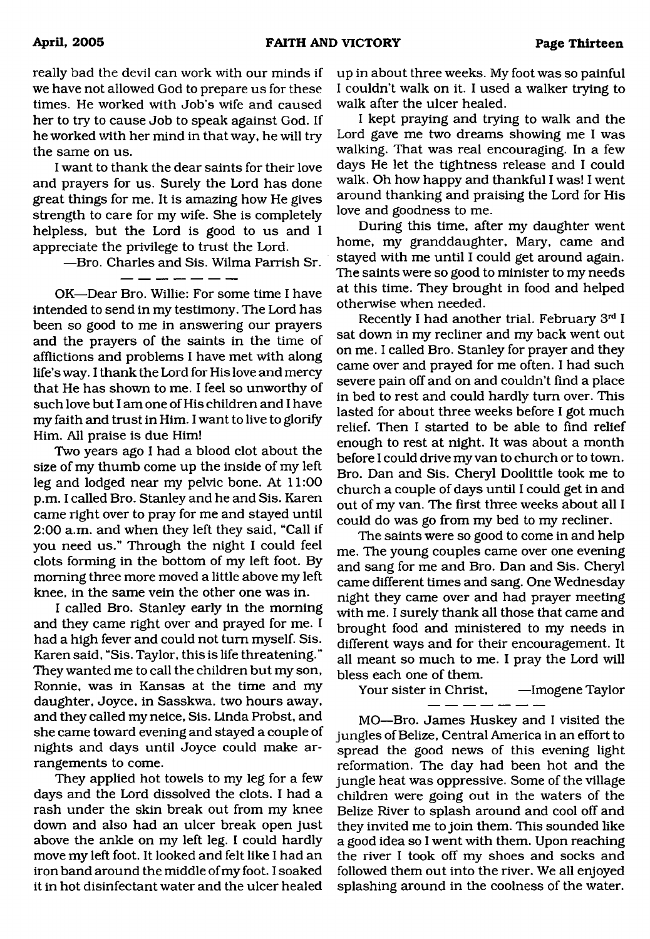really bad the devil can work with our minds if we have not allowed God to prepare us for these times. He worked with Job's wife and caused her to try to cause Job to speak against God. If he worked with her mind in that way, he will try the same on us.

I want to thank the dear saints for their love and prayers for us. Surely the Lord has done great things for me. It is amazing how He gives strength to care for my wife. She is completely helpless, but the Lord is good to us and I appreciate the privilege to trust the Lord.

—Bro. Charles and Sis. Wilma Parrish Sr.

الموارد والمستند المستند المستند المناد

OK—Dear Bro. Willie: For some time I have intended to send in my testimony. The Lord has been so good to me in answering our prayers and the prayers of the saints in the time of afflictions and problems I have met with along life's way. I thank the Lord for His love and mercy that He has shown to me. I feel so unworthy of such love but I am one of His children and I have my faith and trust in Him. I want to live to glorify Him. All praise is due Him!

Two years ago I had a blood clot about the size of my thumb come up the inside of my left leg and lodged near my pelvic bone. At 11:00 p.m. I called Bro. Stanley and he and Sis. Karen came right over to pray for me and stayed until 2:00 a.m. and when they left they said, "Call if you need us." Through the night I could feel clots forming in the bottom of my left foot. By morning three more moved a little above my left knee, in the same vein the other one was in.

I called Bro. Stanley early in the morning and they came right over and prayed for me. I had a high fever and could not turn myself. Sis. Karen said, "Sis. Taylor, this is life threatening." They wanted me to call the children but my son, Ronnie, was in Kansas at the time and my daughter, Joyce, in Sasskwa, two hours away, and they called my neice, Sis. Linda Probst, and she came toward evening and stayed a couple of nights and days until Joyce could make arrangements to come.

They applied hot towels to my leg for a few days and the Lord dissolved the clots. I had a rash under the skin break out from my knee down and also had an ulcer break open just above the ankle on my left leg. I could hardly move my left foot. It looked and felt like I had an iron band around the middle of my foot. I soaked it in hot disinfectant water and the ulcer healed up in about three weeks. My foot was so painful I couldn't walk on it. I used a walker trying to walk after the ulcer healed.

I kept praying and trying to walk and the Lord gave me two dreams showing me I was walking. That was real encouraging. In a few days He let the tightness release and I could walk. Oh how happy and thankful I was! I went around thanking and praising the Lord for His love and goodness to me.

During this time, after my daughter went home, my granddaughter, Mary, came and stayed with me until I could get around again. The saints were so good to minister to my needs at this time. They brought in food and helped otherwise when needed.

Recently I had another trial. February 3rd I sat down in my recliner and my back went out on me. I called Bro. Stanley for prayer and they came over and prayed for me often. I had such severe pain off and on and couldn't find a place in bed to rest and could hardly turn over. This lasted for about three weeks before I got much relief. Then I started to be able to find relief enough to rest at night. It was about a month before I could drive my van to church or to town. Bro. Dan and Sis. Cheryl Doolittle took me to church a couple of days until I could get in and out of my van. The first three weeks about all I could do was go from my bed to my recliner.

The saints were so good to come in and help me. The young couples came over one evening and sang for me and Bro. Dan and Sis. Cheryl came different times and sang. One Wednesday night they came over and had prayer meeting with me. I surely thank all those that came and brought food and ministered to my needs in different ways and for their encouragement. It all meant so much to me. I pray the Lord will bless each one of them.

Your sister in Christ, —Imogene Taylor

MO—Bro. James Huskey and I visited the jungles of Belize, Central America in an effort to spread the good news of this evening light reformation. The day had been hot and the jungle heat was oppressive. Some of the village children were going out in the waters of the Belize River to splash around and cool off and they invited me to join them. This sounded like a good idea so I went with them. Upon reaching the river I took off my shoes and socks and followed them out into the river. We all enjoyed splashing around in the coolness of the water.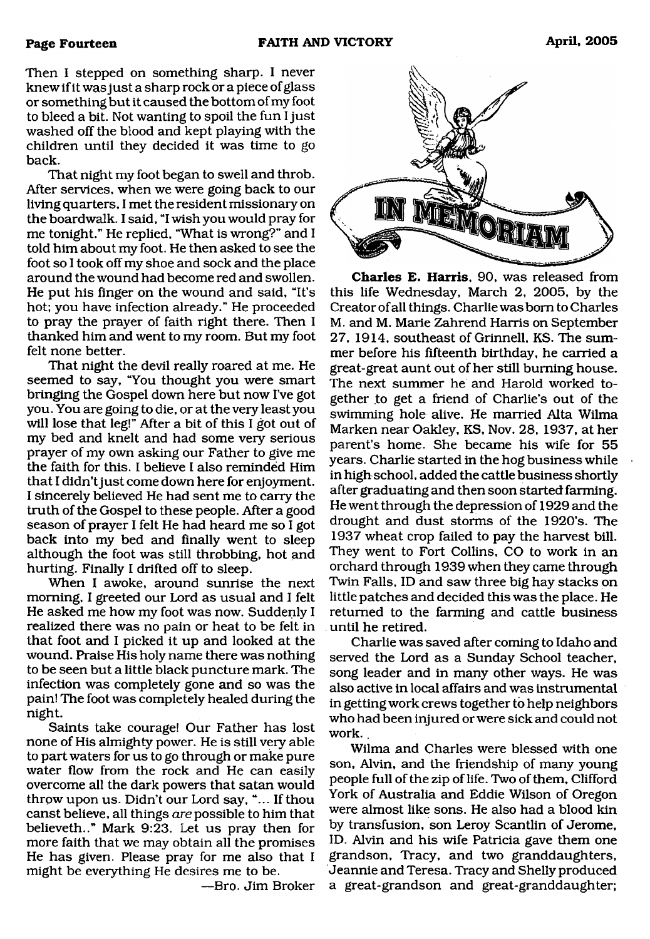Then I stepped on something sharp. I never knew if it was just a sharp rock or a piece of glass or something but it caused the bottom of my foot to bleed a bit. Not wanting to spoil the fun I just washed off the blood and kept playing with the children until they decided it was time to go back.

That night my foot began to swell and throb. After services, when we were going back to our living quarters, I met the resident missionary on the boardwalk. I said, "I wish you would pray for me tonight." He replied, "What is wrong?" and I told him about my foot. He then asked to see the foot so I took off my shoe and sock and the place around the wound had become red and swollen. He put his finger on the wound and said, "It's hot; you have infection already." He proceeded to pray the prayer of faith right there. Then I thanked him and went to my room. But my foot felt none better.

That night the devil really roared at me. He seemed to say, "You thought you were smart bringing the Gospel down here but now I've got you. You are going to die, or at the very least you will lose that leg!" After a bit of this I got out of my bed and knelt and had some very serious prayer of my own asking our Father to give me the faith for this. I believe I also reminded Him that I didn't just come down here for enjoyment. I sincerely believed He had sent me to carry the truth of the Gospel to these people. After a good season of prayer I felt He had heard me so I got back into my bed and finally went to sleep although the foot was still throbbing, hot and hurting. Finally I drifted off to sleep.

When I awoke, around sunrise the next morning, I greeted our Lord as usual and I felt He asked me how my foot was now. Suddenly I realized there was no pain or heat to be felt in that foot and I picked it up and looked at the wound. Praise His holy name there was nothing to be seen but a little black puncture mark. The infection was completely gone and so was the pain! The foot was completely healed during the night.

Saints take courage! Our Father has lost none of His almighty power. He is still very able to part waters for us to go through or make pure water flow from the rock and He can easily overcome all the dark powers that satan would throw upon us. Didn't our Lord say, "... If thou canst believe, all things *are* possible to him that believeth.." Mark 9:23. Let us pray then for more faith that we may obtain all the promises He has given. Please pray for me also that I might be everything He desires me to be.

—Bro. Jim Broker



**Charles E. Harris,** 90, was released from this life Wednesday, March 2, 2005, by the Creator of all things. Charlie was bom to Charles M. and M. Marie Zahrend Harris on September 27, 1914, southeast of Grinnell, KS. The summer before his fifteenth birthday, he carried a great-great aunt out of her still burning house. The next summer he and Harold worked together to get a friend of Charlie's out of the swimming hole alive. He married Alta Wilma Marken near Oakley, KS, Nov. 28, 1937, at her parent's home. She became his wife for 55 years. Charlie started in the hog business while in high school, added the cattle business shortly after graduating and then soon started farming. He went through the depression of 1929 and the drought and dust storms of the 1920's. The 1937 wheat crop failed to pay the harvest bill. They went to Fort Collins, CO to work in an orchard through 1939 when they came through Twin Falls, ID and saw three big hay stacks on little patches and decided this was the place. He returned to the farming and cattle business until he retired.

Charlie was saved after coming to Idaho and served the Lord as a Sunday School teacher, song leader and in many other ways. He was also active in local affairs and was instrumental in getting work crews together to help neighbors who had been injured or were sick and could not work..

Wilma and Charles were blessed with one son, Alvin, and the friendship of many young people full of the zip of life. Two of them, Clifford York of Australia and Eddie Wilson of Oregon were almost like sons. He also had a blood kin by transfusion, son Leroy Scantlin of Jerome, ID. Alvin and his wife Patricia gave them one grandson, Tracy, and two granddaughters, Jeannie and Teresa. Tracy and Shelly produced a great-grandson and great-granddaughter;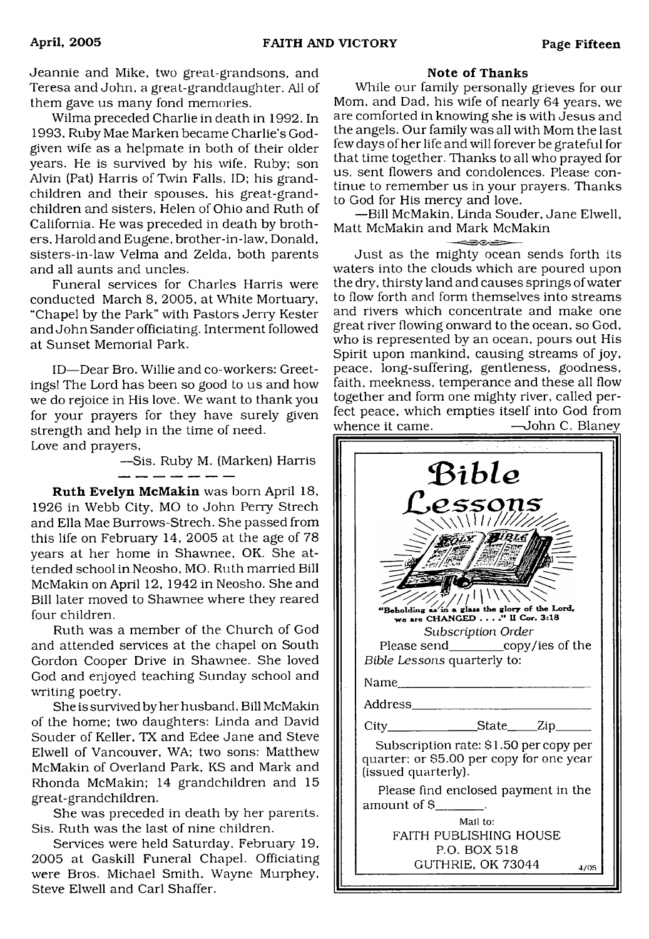Jeannie and Mike, two great-grandsons, and Teresa and John, a great-granddaughter. All of them gave us many fond memories.

Wilma preceded Charlie in death in 1992. In 1993, Ruby Mae Marken became Charlie's Godgiven wife as a helpmate in both of their older years. He is survived by his wife. Ruby; son Alvin (Pat) Harris of Twin Falls, ID; his grandchildren and their spouses, his great-grandchildren and sisters, Helen of Ohio and Ruth of California. He was preceded in death by brothers, Harold and Eugene, brother-in-law, Donald, sisters-in-law Velma and Zelda, both parents and all aunts and uncles.

Funeral services for Charles Harris were conducted March 8, 2005, at White Mortuary, "Chapel by the Park" with Pastors Jerry Kester and John Sander officiating. Interment followed at Sunset Memorial Park.

ID—Dear Bro. Willie and co-workers; Greetings! The Lord has been so good to us and how we do rejoice in His love. We want to thank you for your prayers for they have surely given strength and help in the time of need. Love and prayers,

> —Sis. Ruby M. (Marken) Harris <u> 1989 - 1989 - 1989 - 1989 - 1989 - 1989 - 1989 - 1989 - 1989 - 1989 - 1989 - 1989 - 1989 - 1989 - 1989 - 1989 - 1989 - 1989 - 1989 - 1989 - 1989 - 1989 - 1989 - 1989 - 1989 - 1989 - 1989 - 1989 - 1989 - 1989 - 1989 - 198</u>

**Ruth Evelyn McMakin** was born April 18, 1926 in Webb City, MO to John Perry Strech and Ella Mae Burrows-Strech. She passed from this life on February 14, 2005 at the age of 78 years at her home in Shawnee, OK. She attended school in Neosho, MO. Ruth married Bill McMakin on April 12, 1942 in Neosho. She and Bill later moved to Shawnee where they reared four children.

Ruth was a member of the Church of God and attended services at the chapel on South Gordon Cooper Drive in Shawnee. She loved God and enjoyed teaching Sunday school and writing poetry.

She is survived by her husband, Bill McMakin of the home; two daughters: Linda and David Souder of Keller, TX and Edee Jane and Steve Elwell of Vancouver, WA; two sons: Matthew McMakin of Overland Park, KS and Mark and Rhonda McMakin; 14 grandchildren and 15 great-grandchildren.

She was preceded in death by her parents. Sis. Ruth was the last of nine children.

Services were held Saturday. February 19, 2005 at Gaskill Funeral Chapel. Officiating were Bros. Michael Smith. Wayne Murphey, Steve Elwell and Carl Shaffer.

### **Note of Thanks**

While our family personally grieves for our Mom, and Dad, his wife of nearly 64 years, we are comforted in knowing she is with Jesus and the angels. Our family was all with Mom the last few days of her life and will forever be grateful for that time together. Thanks to all who prayed for us, sent flowers and condolences. Please continue to remember us in your prayers. Thanks to God for His mercy and love.

—Bill McMakin, Linda Souder, Jane Elwell, Matt McMakin and Mark McMakin

Just as the mighty ocean sends forth its waters into the clouds which are poured upon the dry, thirsty land and causes springs of water to flow forth and form themselves into streams and rivers which concentrate and make one great river flowing onward to the ocean, so God. who is represented by an ocean, pours out His Spirit upon mankind, causing streams of joy, peace, long-suffering, gentleness, goodness, faith, meekness, temperance and these all flow together and form one mighty river, called perfect peace, which empties itself into God from whence it came. ——John C. Blaney

| $\mathcal{L}(\mathcal{A}) = \mathcal{L}(\mathcal{A})$ , where $\mathcal{L}(\mathcal{A})$ |                                                                                                                        |  |  |
|------------------------------------------------------------------------------------------|------------------------------------------------------------------------------------------------------------------------|--|--|
|                                                                                          | Bible<br>essons,<br>$\sqrt{11777}$<br>"Beholding as in a glass the glory of the Lord,<br>we are CHANGED " II Cor. 3:18 |  |  |
|                                                                                          | Subscription Order                                                                                                     |  |  |
|                                                                                          | Please send__________copy/ies of the<br>Bible Lessons quarterly to:                                                    |  |  |
|                                                                                          | Name                                                                                                                   |  |  |
|                                                                                          |                                                                                                                        |  |  |
|                                                                                          | City__________________State_____Zip_______                                                                             |  |  |
|                                                                                          | Subscription rate: \$1.50 per copy per<br>quarter; or \$5.00 per copy for one year<br>(issued quarterly).              |  |  |
|                                                                                          | Please find enclosed payment in the<br>amount of \$                                                                    |  |  |
|                                                                                          | Mail to:<br><b>FAITH PUBLISHING HOUSE</b><br>P.O. BOX 518                                                              |  |  |
|                                                                                          | GUTHRIE, OK 73044<br>4/05                                                                                              |  |  |